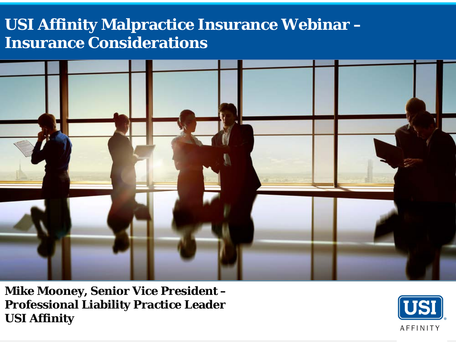### **USI Affinity Malpractice Insurance Webinar – Insurance Considerations**



**Mike Mooney, Senior Vice President – Professional Liability Practice Leader USI Affinity**

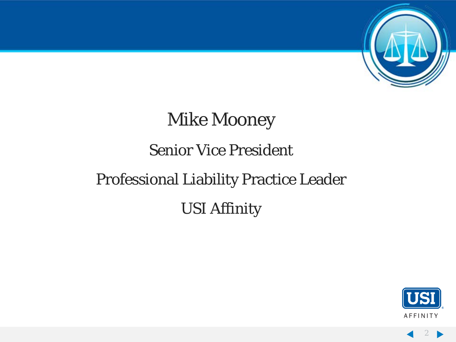

### Mike Mooney

### Senior Vice President

# Professional Liability Practice Leader USI Affinity



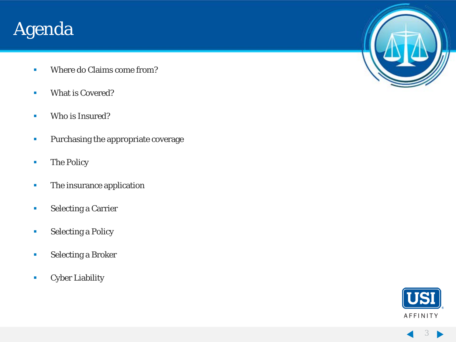### Agenda

- **Where do Claims come from?**
- **What is Covered?**
- **Who is Insured?**
- **Purchasing the appropriate coverage**
- **The Policy**
- **The insurance application**
- **Selecting a Carrier**
- **Selecting a Policy**
- **Selecting a Broker**
- **Cyber Liability**



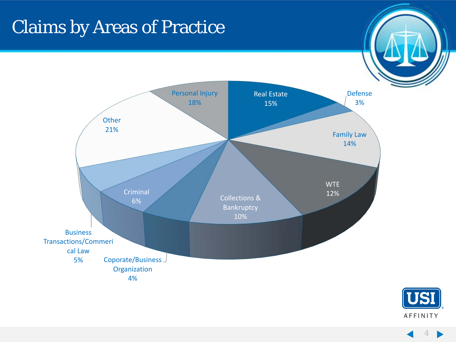# Claims by Areas of Practice





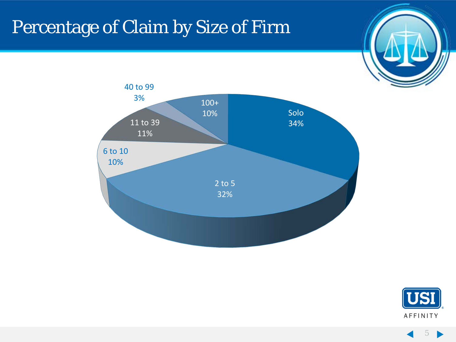# Percentage of Claim by Size of Firm







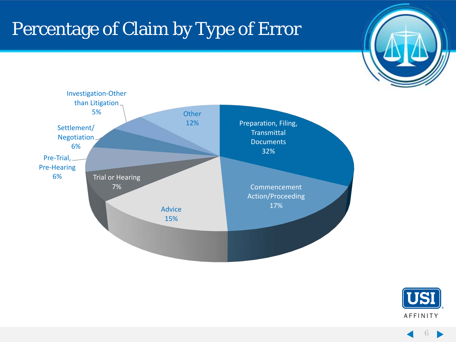# Percentage of Claim by Type of Error





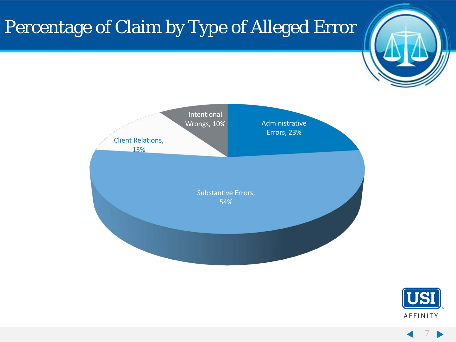# Percentage of Claim by Type of Alleged Error





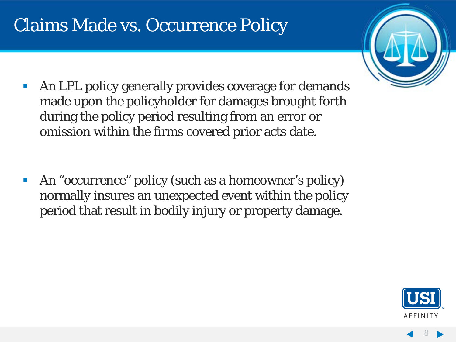### Claims Made vs. Occurrence Policy <sup>8</sup>



 An LPL policy generally provides coverage for demands made upon the policyholder for damages brought forth during the policy period resulting from an error or omission within the firms covered prior acts date.

 An "occurrence" policy (such as a homeowner's policy) normally insures an unexpected event within the policy period that result in bodily injury or property damage.

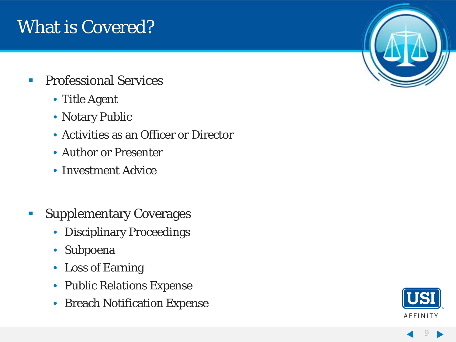### What is Covered?

- **Professional Services** 
	- Title Agent
	- Notary Public
	- Activities as an Officer or Director
	- Author or Presenter
	- Investment Advice
- **Supplementary Coverages** 
	- Disciplinary Proceedings
	- Subpoena
	- Loss of Earning
	- Public Relations Expense
	- Breach Notification Expense



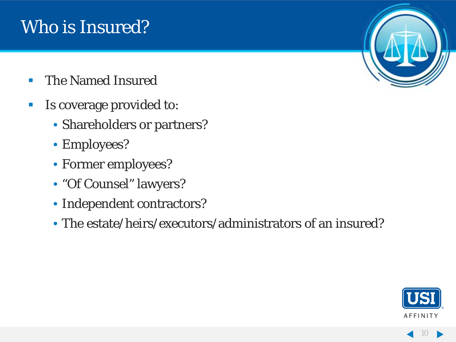### Who is Insured?

- **The Named Insured**
- **IS coverage provided to:** 
	- Shareholders or partners?
	- Employees?
	- Former employees?
	- "Of Counsel" lawyers?
	- Independent contractors?
	- The estate/heirs/executors/administrators of an insured?



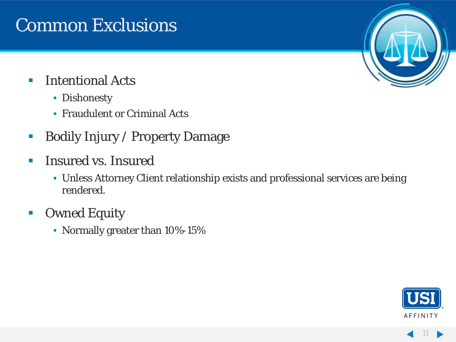### **Common Exclusions**

### **Intentional Acts**

- Dishonesty
- Fraudulent or Criminal Acts
- **Bodily Injury / Property Damage**
- **Insured vs. Insured** 
	- Unless Attorney Client relationship exists and professional services are being rendered.
- **Owned Equity** 
	- Normally greater than 10%-15%



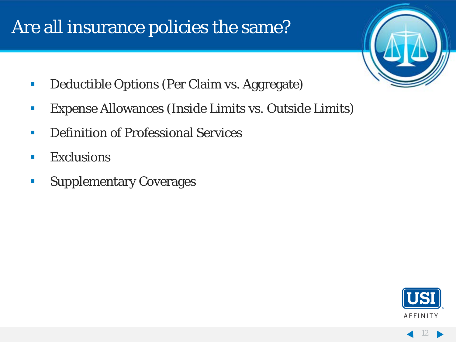### Are all insurance policies the same?



- **Deductible Options (Per Claim vs. Aggregate)**
- Expense Allowances (Inside Limits vs. Outside Limits)
- **Definition of Professional Services**
- **Exclusions**
- **Supplementary Coverages**

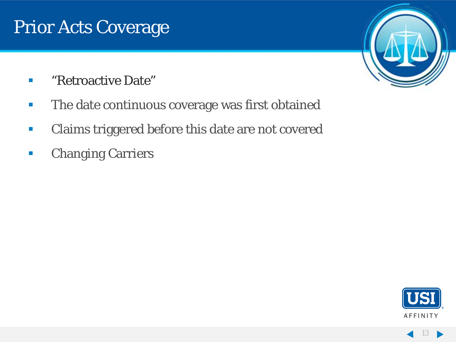### Prior Acts Coverage

- **E** "Retroactive Date"
- **The date continuous coverage was first obtained**
- **Claims triggered before this date are not covered**
- **Changing Carriers**



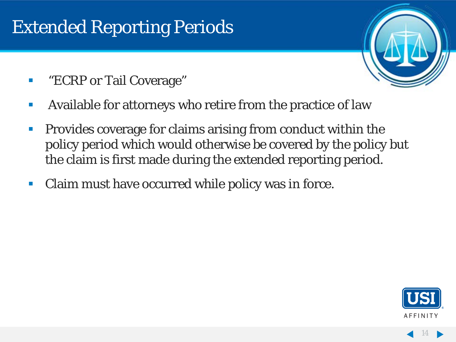### **Extended Reporting Periods**

- **ECRP** or Tail Coverage"
- Available for attorneys who retire from the practice of law
- **Provides coverage for claims arising from conduct within the** policy period which would otherwise be covered by the policy but the claim is first made during the extended reporting period.
- Claim must have occurred while policy was in force.

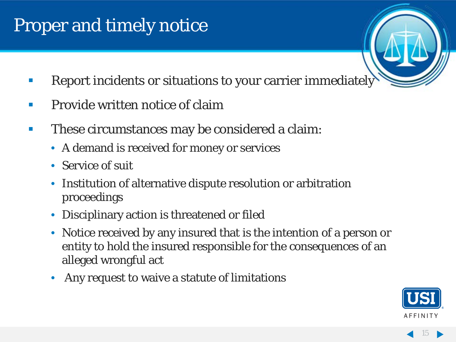## Proper and timely notice

- **Report incidents or situations to your carrier immediately**
- **Provide written notice of claim**
- **These circumstances may be considered a claim:** 
	- A demand is received for money or services
	- Service of suit
	- Institution of alternative dispute resolution or arbitration proceedings
	- Disciplinary action is threatened or filed
	- Notice received by any insured that is the intention of a person or entity to hold the insured responsible for the consequences of an alleged wrongful act
	- Any request to waive a statute of limitations

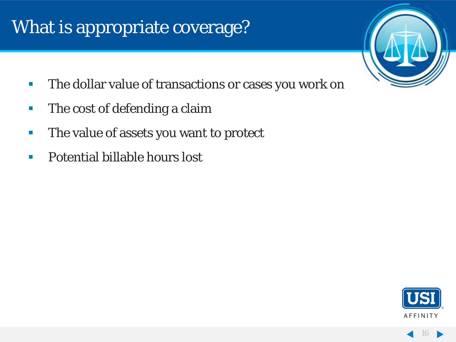## What is appropriate coverage?

- 
- **The dollar value of transactions or cases you work on**
- **The cost of defending a claim**
- **The value of assets you want to protect**
- **Potential billable hours lost**

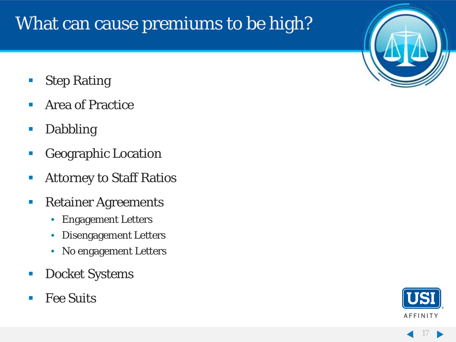## What can cause premiums to be high?

- Step Rating
- **Area of Practice**
- **Dabbling**
- **Geographic Location**
- **Attorney to Staff Ratios**
- **Retainer Agreements** 
	- Engagement Letters
	- Disengagement Letters
	- No engagement Letters
- **Docket Systems**
- Fee Suits



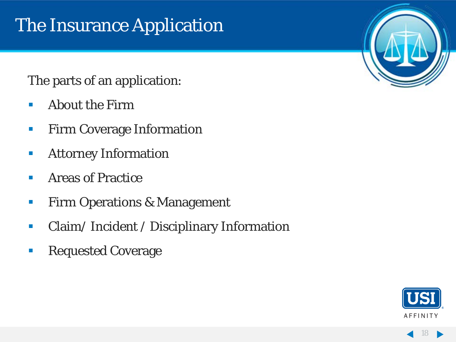# The Insurance Application

### The parts of an application:

- **About the Firm**
- **Firm Coverage Information**
- **Attorney Information**
- **E** Areas of Practice
- **Firm Operations & Management**
- **Claim/Incident / Disciplinary Information**
- **Requested Coverage**



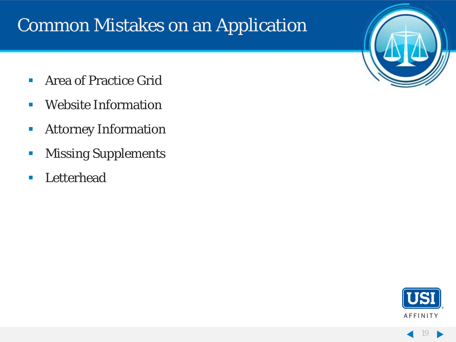### **Common Mistakes on an Application**

- **Area of Practice Grid**
- **Website Information**
- **Attorney Information**
- **Missing Supplements**
- **Letterhead**



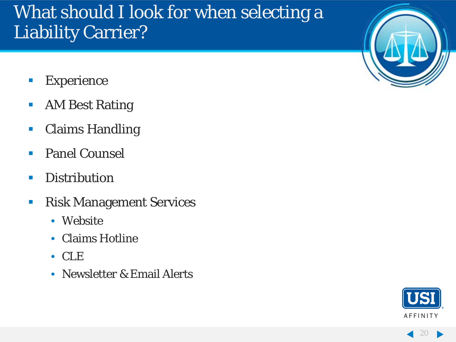### What should I look for when selecting a Liability Carrier?

- **Experience**
- **AM Best Rating**
- **Claims Handling**
- **Panel Counsel**
- **Distribution**
- **Risk Management Services** 
	- Website
	- Claims Hotline
	- CLE
	- Newsletter & Email Alerts



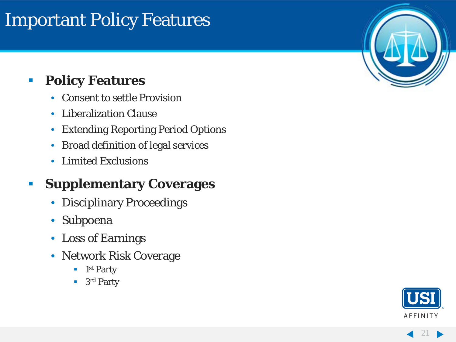### **Important Policy Features**

### **Policy Features**

- Consent to settle Provision
- Liberalization Clause
- Extending Reporting Period Options
- Broad definition of legal services
- Limited Exclusions

### **Fig. 5 Supplementary Coverages**

- Disciplinary Proceedings
- Subpoena
- Loss of Earnings
- Network Risk Coverage
	- $\blacksquare$  1st Party
	- 3rd Party



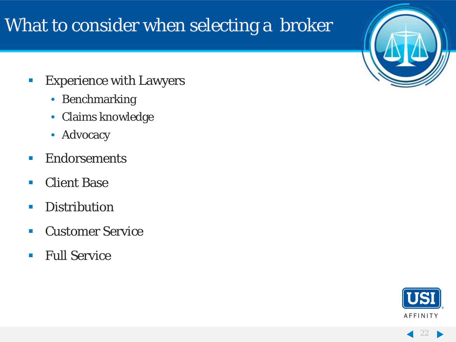### What to consider when selecting a broker

- **Experience with Lawyers** 
	- Benchmarking
	- Claims knowledge
	- Advocacy
- **Endorsements**
- Client Base
- **Distribution**
- **E** Customer Service
- **Full Service**



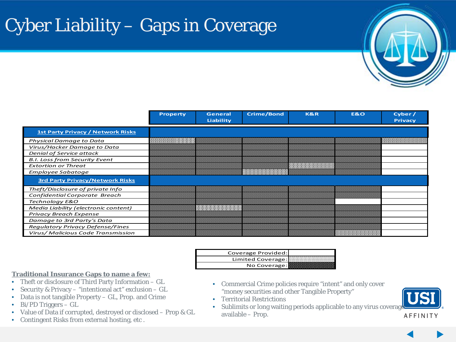# Cyber Liability – Gaps in Coverage



|                                          | <b>Property</b> | <b>General</b> | <b>Crime/Bond</b> | <b>K&amp;R</b> | E&O | Cyber /        |
|------------------------------------------|-----------------|----------------|-------------------|----------------|-----|----------------|
|                                          |                 | Liability      |                   |                |     | <b>Privacy</b> |
| <b>1st Party Privacy / Network Risks</b> |                 |                |                   |                |     |                |
| Physical Damage to Data                  |                 |                |                   |                |     |                |
| Virus/Hacker Damage to Data              |                 |                |                   |                |     |                |
| Denial of Service attack                 |                 |                |                   |                |     |                |
| <b>B.I. Loss from Security Event</b>     |                 |                |                   |                |     |                |
| <b>Extortion or Threat</b>               |                 |                |                   |                |     |                |
| Employee Sabatoge                        |                 |                |                   |                |     |                |
| <b>3rd Party Privacy/Network Risks</b>   |                 |                |                   |                |     |                |
| Theft/Disclosure of private Info         |                 |                |                   |                |     |                |
| Confidential Corporate Breach            |                 |                |                   |                |     |                |
| Technology E&O                           |                 |                |                   |                |     |                |
| Media Liability (electronic content)     |                 |                |                   |                |     |                |
| <b>Privacy Breach Expense</b>            |                 |                |                   |                |     |                |
| Damage to 3rd Party's Data               |                 |                |                   |                |     |                |
| Regulatory Privacy Defense/Fines         |                 |                |                   |                |     |                |
| Virus/ Malicious Code Transmission       |                 |                |                   |                |     |                |

| Coverage Provided: |  |
|--------------------|--|
| Limited Coverage:  |  |
| No Coverage:       |  |

### **Traditional Insurance Gaps to name a few:**

- Theft or disclosure of Third Party Information GL
- Security & Privacy "intentional act" exclusion GL
- Data is not tangible Property GL, Prop. and Crime
- Bi/PD Triggers GL
- Value of Data if corrupted, destroyed or disclosed Prop & GL
- Contingent Risks from external hosting, etc .
- Commercial Crime policies require "intent" and only cover "money securities and other Tangible Property"
- Territorial Restrictions
- Sublimits or long waiting periods applicable to any virus coverage available – Prop.

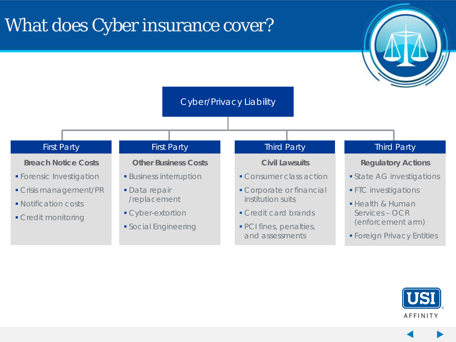### What does Cyber insurance cover?



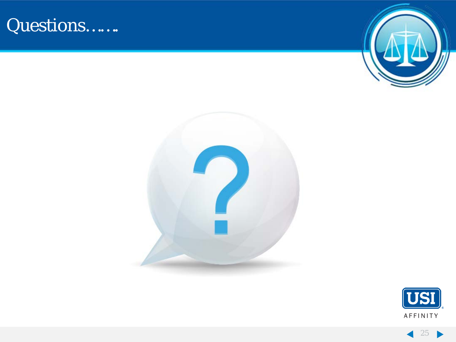### Questions…….